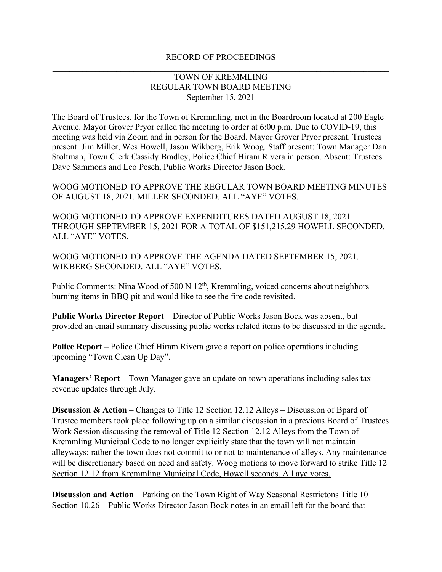## RECORD OF PROCEEDINGS **\_\_\_\_\_\_\_\_\_\_\_\_\_\_\_\_\_\_\_\_\_\_\_\_\_\_\_\_\_\_\_\_\_\_\_\_\_\_\_\_\_\_\_\_\_\_\_\_\_\_\_\_\_\_\_\_\_\_\_\_\_\_\_\_\_\_\_\_\_\_\_\_\_\_\_\_\_\_\_**

## TOWN OF KREMMLING REGULAR TOWN BOARD MEETING September 15, 2021

The Board of Trustees, for the Town of Kremmling, met in the Boardroom located at 200 Eagle Avenue. Mayor Grover Pryor called the meeting to order at 6:00 p.m. Due to COVID-19, this meeting was held via Zoom and in person for the Board. Mayor Grover Pryor present. Trustees present: Jim Miller, Wes Howell, Jason Wikberg, Erik Woog. Staff present: Town Manager Dan Stoltman, Town Clerk Cassidy Bradley, Police Chief Hiram Rivera in person. Absent: Trustees Dave Sammons and Leo Pesch, Public Works Director Jason Bock.

WOOG MOTIONED TO APPROVE THE REGULAR TOWN BOARD MEETING MINUTES OF AUGUST 18, 2021. MILLER SECONDED. ALL "AYE" VOTES.

WOOG MOTIONED TO APPROVE EXPENDITURES DATED AUGUST 18, 2021 THROUGH SEPTEMBER 15, 2021 FOR A TOTAL OF \$151,215.29 HOWELL SECONDED. ALL "AYE" VOTES.

WOOG MOTIONED TO APPROVE THE AGENDA DATED SEPTEMBER 15, 2021. WIKBERG SECONDED. ALL "AYE" VOTES.

Public Comments: Nina Wood of 500 N  $12<sup>th</sup>$ , Kremmling, voiced concerns about neighbors burning items in BBQ pit and would like to see the fire code revisited.

**Public Works Director Report –** Director of Public Works Jason Bock was absent, but provided an email summary discussing public works related items to be discussed in the agenda.

**Police Report –** Police Chief Hiram Rivera gave a report on police operations including upcoming "Town Clean Up Day".

**Managers' Report –** Town Manager gave an update on town operations including sales tax revenue updates through July.

**Discussion & Action** – Changes to Title 12 Section 12.12 Alleys – Discussion of Bpard of Trustee members took place following up on a similar discussion in a previous Board of Trustees Work Session discussing the removal of Title 12 Section 12.12 Alleys from the Town of Kremmling Municipal Code to no longer explicitly state that the town will not maintain alleyways; rather the town does not commit to or not to maintenance of alleys. Any maintenance will be discretionary based on need and safety. Woog motions to move forward to strike Title 12 Section 12.12 from Kremmling Municipal Code, Howell seconds. All aye votes.

**Discussion and Action** – Parking on the Town Right of Way Seasonal Restrictons Title 10 Section 10.26 – Public Works Director Jason Bock notes in an email left for the board that